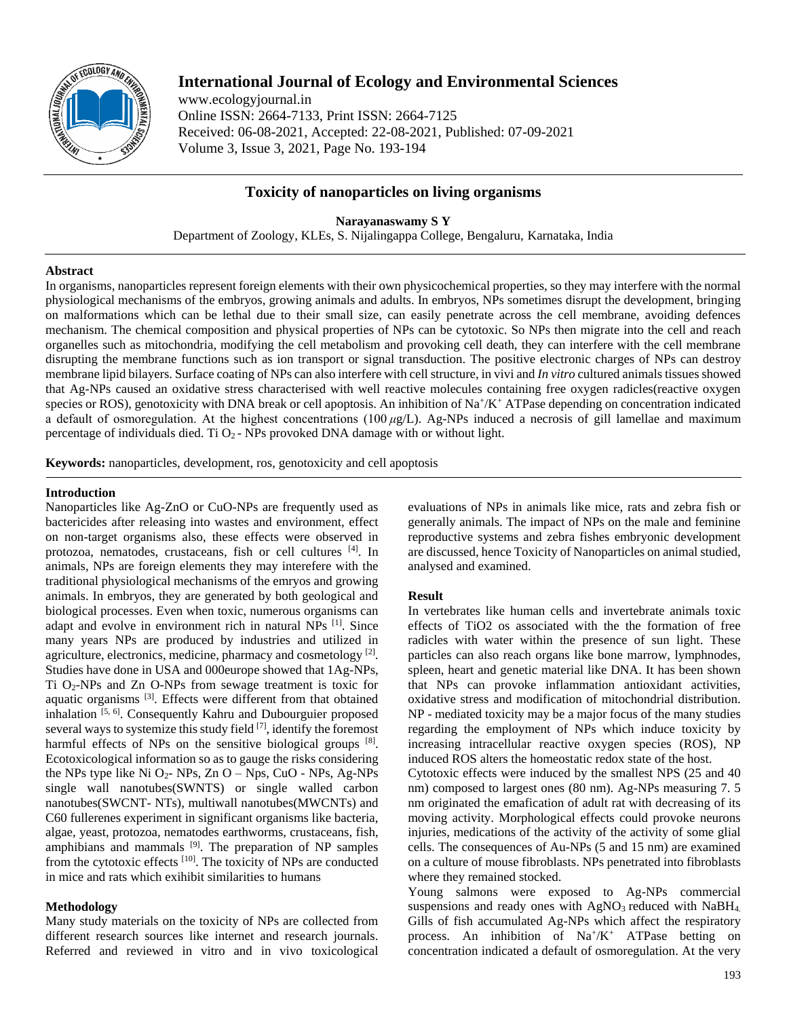

# **International Journal of Ecology and Environmental Sciences**

www.ecologyjournal.in Online ISSN: 2664-7133, Print ISSN: 2664-7125 Received: 06-08-2021, Accepted: 22-08-2021, Published: 07-09-2021 Volume 3, Issue 3, 2021, Page No. 193-194

## **Toxicity of nanoparticles on living organisms**

**Narayanaswamy S Y** Department of Zoology, KLEs, S. Nijalingappa College, Bengaluru, Karnataka, India

### **Abstract**

In organisms, nanoparticles represent foreign elements with their own physicochemical properties, so they may interfere with the normal physiological mechanisms of the embryos, growing animals and adults. In embryos, NPs sometimes disrupt the development, bringing on malformations which can be lethal due to their small size, can easily penetrate across the cell membrane, avoiding defences mechanism. The chemical composition and physical properties of NPs can be cytotoxic. So NPs then migrate into the cell and reach organelles such as mitochondria, modifying the cell metabolism and provoking cell death, they can interfere with the cell membrane disrupting the membrane functions such as ion transport or signal transduction. The positive electronic charges of NPs can destroy membrane lipid bilayers. Surface coating of NPs can also interfere with cell structure, in vivi and *In vitro* cultured animals tissues showed that Ag-NPs caused an oxidative stress characterised with well reactive molecules containing free oxygen radicles(reactive oxygen species or ROS), genotoxicity with DNA break or cell apoptosis. An inhibition of  $\text{Na}^+\text{/K}^+$  ATPase depending on concentration indicated a default of osmoregulation. At the highest concentrations (100 *μ*g/L). Ag-NPs induced a necrosis of gill lamellae and maximum percentage of individuals died. Ti  $O_2$  - NPs provoked DNA damage with or without light.

**Keywords:** nanoparticles, development, ros, genotoxicity and cell apoptosis

### **Introduction**

Nanoparticles like Ag-ZnO or CuO-NPs are frequently used as bactericides after releasing into wastes and environment, effect on non-target organisms also, these effects were observed in protozoa, nematodes, crustaceans, fish or cell cultures [4] . In animals, NPs are foreign elements they may interefere with the traditional physiological mechanisms of the emryos and growing animals. In embryos, they are generated by both geological and biological processes. Even when toxic, numerous organisms can adapt and evolve in environment rich in natural NPs [1]. Since many years NPs are produced by industries and utilized in agriculture, electronics, medicine, pharmacy and cosmetology<sup>[2]</sup>. Studies have done in USA and 000europe showed that 1Ag-NPs, Ti  $O_2$ -NPs and Zn O-NPs from sewage treatment is toxic for aquatic organisms [3]. Effects were different from that obtained inhalation [5, 6]. Consequently Kahru and Dubourguier proposed several ways to systemize this study field <sup>[7]</sup>, identify the foremost harmful effects of NPs on the sensitive biological groups [8]. Ecotoxicological information so as to gauge the risks considering the NPs type like Ni  $O_2$ - NPs, Zn O – Nps, CuO - NPs, Ag-NPs single wall nanotubes(SWNTS) or single walled carbon nanotubes(SWCNT- NTs), multiwall nanotubes(MWCNTs) and C60 fullerenes experiment in significant organisms like bacteria, algae, yeast, protozoa, nematodes earthworms, crustaceans, fish, amphibians and mammals [9]. The preparation of NP samples from the cytotoxic effects [10]. The toxicity of NPs are conducted in mice and rats which exihibit similarities to humans

## **Methodology**

Many study materials on the toxicity of NPs are collected from different research sources like internet and research journals. Referred and reviewed in vitro and in vivo toxicological evaluations of NPs in animals like mice, rats and zebra fish or generally animals. The impact of NPs on the male and feminine reproductive systems and zebra fishes embryonic development are discussed, hence Toxicity of Nanoparticles on animal studied, analysed and examined.

## **Result**

In vertebrates like human cells and invertebrate animals toxic effects of TiO2 os associated with the the formation of free radicles with water within the presence of sun light. These particles can also reach organs like bone marrow, lymphnodes, spleen, heart and genetic material like DNA. It has been shown that NPs can provoke inflammation antioxidant activities, oxidative stress and modification of mitochondrial distribution. NP - mediated toxicity may be a major focus of the many studies regarding the employment of NPs which induce toxicity by increasing intracellular reactive oxygen species (ROS), NP induced ROS alters the homeostatic redox state of the host.

Cytotoxic effects were induced by the smallest NPS (25 and 40 nm) composed to largest ones (80 nm). Ag-NPs measuring 7. 5 nm originated the emafication of adult rat with decreasing of its moving activity. Morphological effects could provoke neurons injuries, medications of the activity of the activity of some glial cells. The consequences of Au-NPs (5 and 15 nm) are examined on a culture of mouse fibroblasts. NPs penetrated into fibroblasts where they remained stocked.

Young salmons were exposed to Ag-NPs commercial suspensions and ready ones with  $AgNO<sub>3</sub>$  reduced with NaBH<sub>4.</sub> Gills of fish accumulated Ag-NPs which affect the respiratory process. An inhibition of  $Na^{+}/K^{+}$  ATPase betting on concentration indicated a default of osmoregulation. At the very